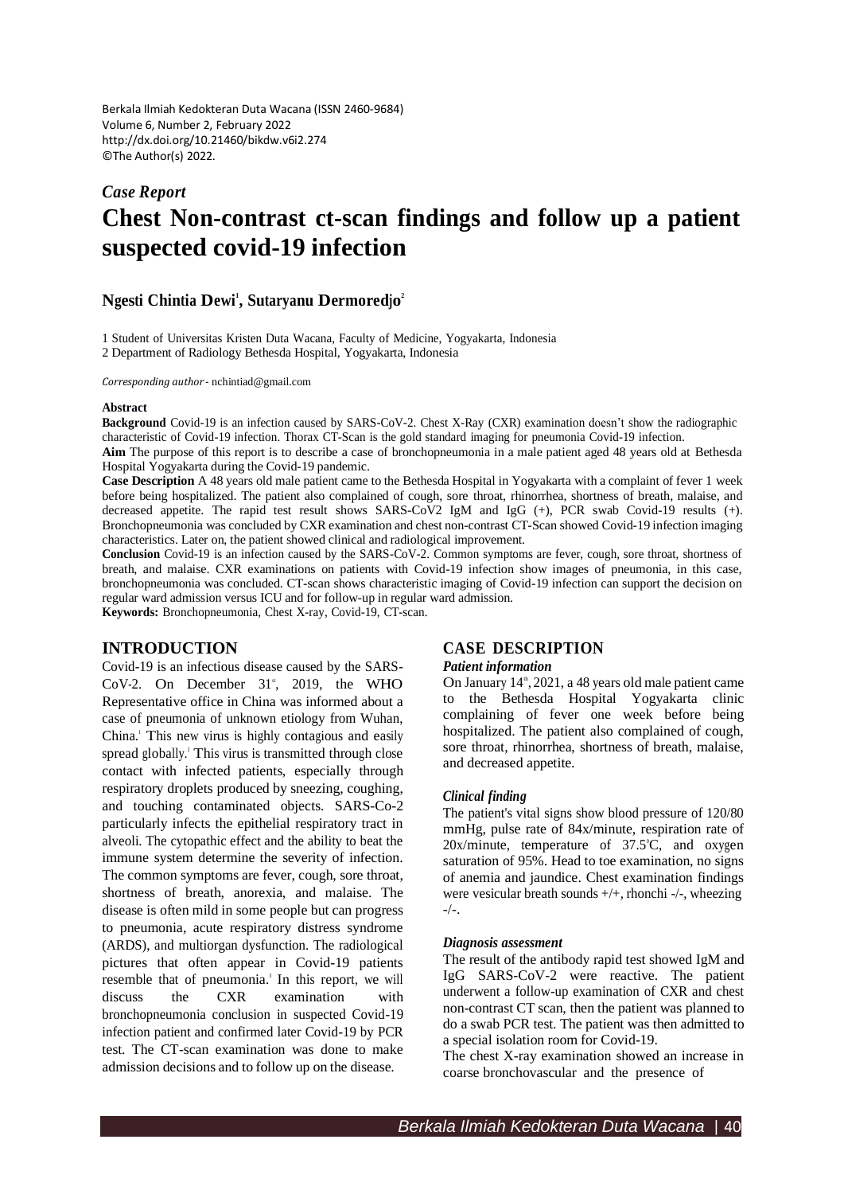Berkala Ilmiah Kedokteran Duta Wacana (ISSN 2460-9684) Volume 6, Number 2, February 2022 <http://dx.doi.org/10.21460/bikdw.v6i2.274> ©The Author(s) 2022.

# *Case Report* **Chest Non-contrast ct-scan findings and follow up a patient suspected covid-19 infection**

# **Ngesti Chintia Dewi 1 , Sutaryanu Dermoredjo 2**

1 Student of Universitas Kristen Duta Wacana, Faculty of Medicine, Yogyakarta, Indonesia 2 Department of Radiology Bethesda Hospital, Yogyakarta, Indonesia

*Corresponding author* - [nchintiad@gmail.com](mailto:nchintiad@gmail.com)

#### **Abstract**

**Background** Covid-19 is an infection caused by SARS-CoV-2. Chest X-Ray (CXR) examination doesn't show the radiographic characteristic of Covid-19 infection. Thorax CT-Scan is the gold standard imaging for pneumonia Covid-19 infection.

**Aim** The purpose of this report is to describe a case of bronchopneumonia in a male patient aged 48 years old at Bethesda Hospital Yogyakarta during the Covid-19 pandemic.

**Case Description** A 48 years old male patient came to the Bethesda Hospital in Yogyakarta with a complaint of fever 1 week before being hospitalized. The patient also complained of cough, sore throat, rhinorrhea, shortness of breath, malaise, and decreased appetite. The rapid test result shows SARS-CoV2 IgM and IgG (+), PCR swab Covid-19 results (+). Bronchopneumonia was concluded by CXR examination and chest non-contrast CT-Scan showed Covid-19 infection imaging characteristics. Later on, the patient showed clinical and radiological improvement.

**Conclusion** Covid-19 is an infection caused by the SARS-CoV-2. Common symptoms are fever, cough, sore throat, shortness of breath, and malaise. CXR examinations on patients with Covid-19 infection show images of pneumonia, in this case, bronchopneumonia was concluded. CT-scan shows characteristic imaging of Covid-19 infection can support the decision on regular ward admission versus ICU and for follow-up in regular ward admission.

**Keywords:** Bronchopneumonia, Chest X-ray, Covid-19, CT-scan.

## **INTRODUCTION**

Covid-19 is an infectious disease caused by the SARS- $CoV-2$ . On December 31<sup>\*</sup>, 2019, the WHO Representative office in China was informed about a case of pneumonia of unknown etiology from Wuhan, China. <sup>1</sup>This new virus is highly contagious and easily spread globally. <sup>2</sup>This virus is transmitted through close contact with infected patients, especially through respiratory droplets produced by sneezing, coughing, and touching contaminated objects. SARS-Co-2 particularly infects the epithelial respiratory tract in alveoli. The cytopathic effect and the ability to beat the immune system determine the severity of infection. The common symptoms are fever, cough, sore throat, shortness of breath, anorexia, and malaise. The disease is often mild in some people but can progress to pneumonia, acute respiratory distress syndrome (ARDS), and multiorgan dysfunction. The radiological pictures that often appear in Covid-19 patients resemble that of pneumonia.<sup>3</sup> In this report, we will discuss the CXR examination with bronchopneumonia conclusion in suspected Covid-19 infection patient and confirmed later Covid-19 by PCR test. The CT-scan examination was done to make admission decisions and to follow up on the disease.

## **CASE DESCRIPTION**

#### *Patient information*

On January 14<sup>th</sup>, 2021, a 48 years old male patient came to the Bethesda Hospital Yogyakarta clinic complaining of fever one week before being hospitalized. The patient also complained of cough, sore throat, rhinorrhea, shortness of breath, malaise, and decreased appetite.

#### *Clinical finding*

The patient's vital signs show blood pressure of 120/80 mmHg, pulse rate of 84x/minute, respiration rate of  $20x/minute$ , temperature of  $37.5^{\circ}$ C, and oxygen saturation of 95%. Head to toe examination, no signs of anemia and jaundice. Chest examination findings were vesicular breath sounds +/+, rhonchi -/-, wheezing  $-/-$ .

#### *Diagnosis assessment*

The result of the antibody rapid test showed IgM and IgG SARS-CoV-2 were reactive. The patient underwent a follow-up examination of CXR and chest non-contrast CT scan, then the patient was planned to do a swab PCR test. The patient was then admitted to a special isolation room for Covid-19.

The chest X-ray examination showed an increase in coarse bronchovascular and the presence of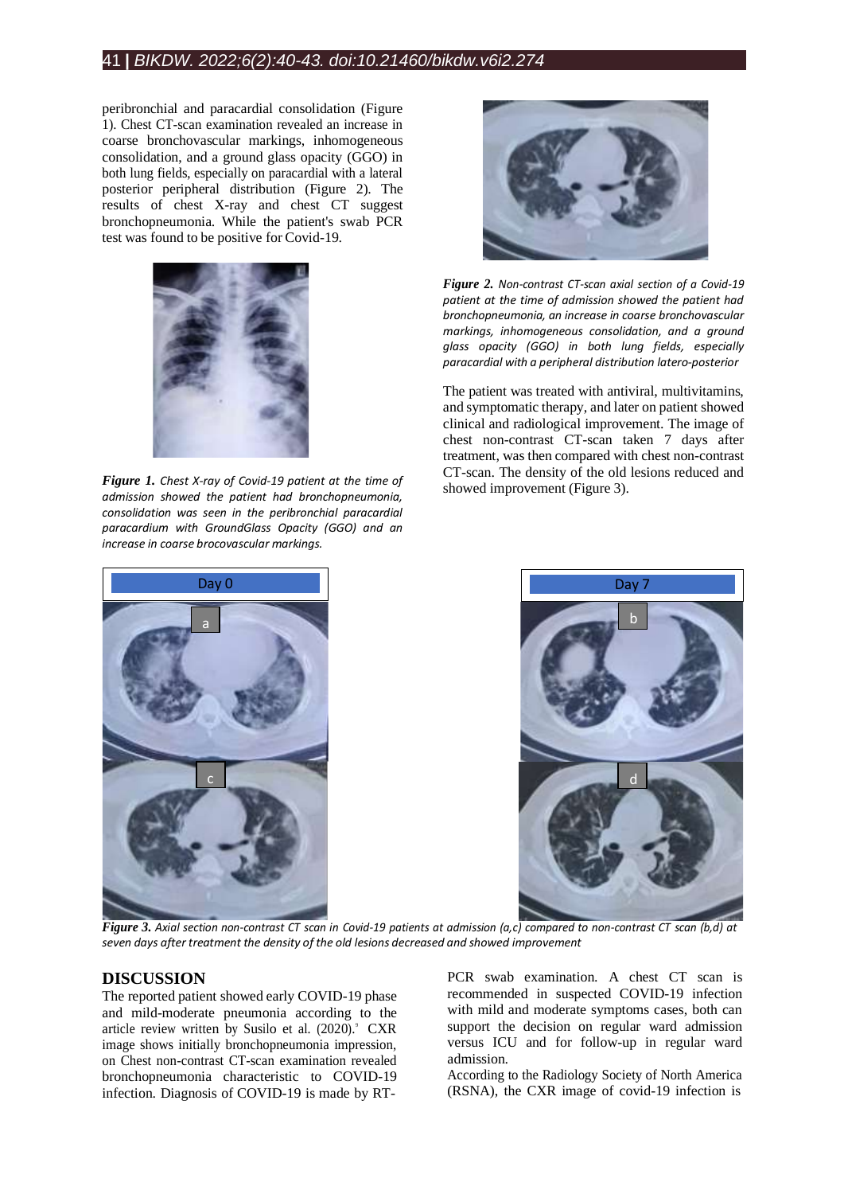# 41 **|** *BIKDW. 2022;6(2):40-43. doi:10.21460/bikdw.v6i2.274*

peribronchial and paracardial consolidation (Figure 1). Chest CT-scan examination revealed an increase in coarse bronchovascular markings, inhomogeneous consolidation, and a ground glass opacity (GGO) in both lung fields, especially on paracardial with a lateral posterior peripheral distribution (Figure 2). The results of chest X-ray and chest CT suggest bronchopneumonia. While the patient's swab PCR test was found to be positive for Covid-19.



*Figure 1. Chest X-ray of Covid-19 patient at the time of admission showed the patient had bronchopneumonia, consolidation was seen in the peribronchial paracardial paracardium with GroundGlass Opacity (GGO) and an increase in coarse brocovascular markings.*



*Figure 2. Non-contrast CT-scan axial section of a Covid-19 patient at the time of admission showed the patient had bronchopneumonia, an increase in coarse bronchovascular markings, inhomogeneous consolidation, and a ground glass opacity (GGO) in both lung fields, especially paracardial with a peripheral distribution latero-posterior*

The patient was treated with antiviral, multivitamins, and symptomatic therapy, and later on patient showed clinical and radiological improvement. The image of chest non-contrast CT-scan taken 7 days after treatment, was then compared with chest non-contrast CT-scan. The density of the old lesions reduced and showed improvement (Figure 3).





Figure 3. Axial section non-contrast CT scan in Covid-19 patients at admission (a.c) compared to non-contrast CT scan (b.d) at *seven days after treatment the density of the old lesions decreased and showed improvement*

## **DISCUSSION**

The reported patient showed early COVID-19 phase and mild-moderate pneumonia according to the article review written by Susilo et al. (2020). CXR image shows initially bronchopneumonia impression, on Chest non-contrast CT-scan examination revealed bronchopneumonia characteristic to COVID-19 infection. Diagnosis of COVID-19 is made by RT-

PCR swab examination. A chest CT scan is recommended in suspected COVID-19 infection with mild and moderate symptoms cases, both can support the decision on regular ward admission versus ICU and for follow-up in regular ward admission.

According to the Radiology Society of North America (RSNA), the CXR image of covid-19 infection is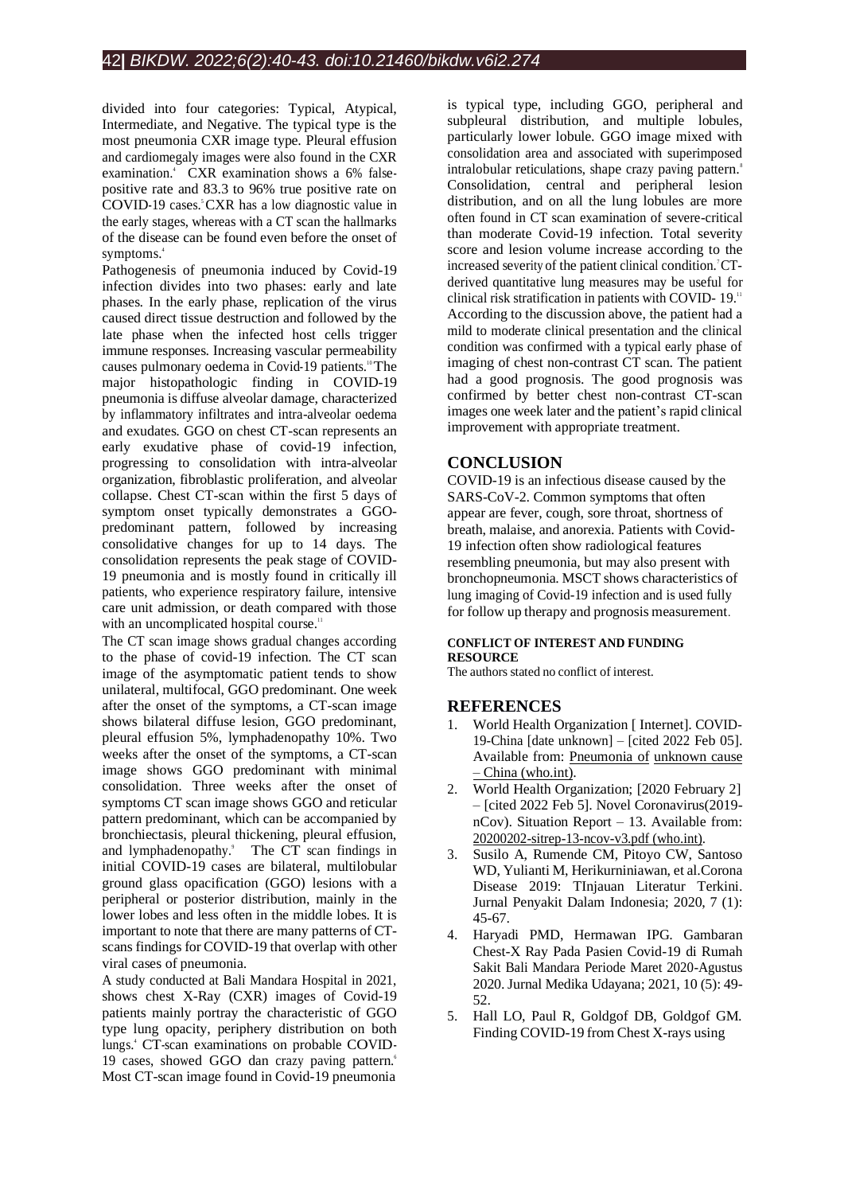divided into four categories: Typical, Atypical, Intermediate, and Negative. The typical type is the most pneumonia CXR image type. Pleural effusion and cardiomegaly images were also found in the CXR examination. <sup>4</sup>CXR examination shows a 6% falsepositive rate and 83.3 to 96% true positive rate on COVID-19 cases. <sup>5</sup>CXR has a low diagnostic value in the early stages, whereas with a CT scan the hallmarks of the disease can be found even before the onset of symptoms. 4

Pathogenesis of pneumonia induced by Covid-19 infection divides into two phases: early and late phases. In the early phase, replication of the virus caused direct tissue destruction and followed by the late phase when the infected host cells trigger immune responses. Increasing vascular permeability causes pulmonary oedema in Covid-19 patients.<sup>10</sup>The major histopathologic finding in COVID-19 pneumonia is diffuse alveolar damage, characterized by inflammatory infiltrates and intra-alveolar oedema and exudates. GGO on chest CT-scan represents an early exudative phase of covid-19 infection, progressing to consolidation with intra-alveolar organization, fibroblastic proliferation, and alveolar collapse. Chest CT-scan within the first 5 days of symptom onset typically demonstrates a GGOpredominant pattern, followed by increasing consolidative changes for up to 14 days. The consolidation represents the peak stage of COVID-19 pneumonia and is mostly found in critically ill patients, who experience respiratory failure, intensive care unit admission, or death compared with those with an uncomplicated hospital course.<sup>11</sup>

The CT scan image shows gradual changes according to the phase of covid-19 infection. The CT scan image of the asymptomatic patient tends to show unilateral, multifocal, GGO predominant. One week after the onset of the symptoms, a CT-scan image shows bilateral diffuse lesion, GGO predominant, pleural effusion 5%, lymphadenopathy 10%. Two weeks after the onset of the symptoms, a CT-scan image shows GGO predominant with minimal consolidation. Three weeks after the onset of symptoms CT scan image shows GGO and reticular pattern predominant, which can be accompanied by bronchiectasis, pleural thickening, pleural effusion, and lymphadenopathy.<sup>9</sup> The CT scan findings in initial COVID-19 cases are bilateral, multilobular ground glass opacification (GGO) lesions with a peripheral or posterior distribution, mainly in the lower lobes and less often in the middle lobes. It is important to note that there are many patterns of CTscans findings for COVID-19 that overlap with other viral cases of pneumonia.

A study conducted at Bali Mandara Hospital in 2021, shows chest X-Ray (CXR) images of Covid-19 patients mainly portray the characteristic of GGO type lung opacity, periphery distribution on both lungs. <sup>4</sup>CT-scan examinations on probable COVID-19 cases, showed GGO dan crazy paving pattern. 6 Most CT-scan image found in Covid-19 pneumonia

is typical type, including GGO, peripheral and subpleural distribution, and multiple lobules, particularly lower lobule. GGO image mixed with consolidation area and associated with superimposed intralobular reticulations, shape crazy paving pattern.<sup>8</sup> Consolidation, central and peripheral lesion distribution, and on all the lung lobules are more often found in CT scan examination of severe-critical than moderate Covid-19 infection. Total severity score and lesion volume increase according to the increased severity of the patient clinical condition. 7 CTderived quantitative lung measures may be useful for clinical risk stratification in patients with COVID-19. According to the discussion above, the patient had a mild to moderate clinical presentation and the clinical condition was confirmed with a typical early phase of imaging of chest non-contrast CT scan. The patient had a good prognosis. The good prognosis was confirmed by better chest non-contrast CT-scan images one week later and the patient's rapid clinical improvement with appropriate treatment.

# **CONCLUSION**

COVID-19 is an infectious disease caused by the SARS-CoV-2. Common symptoms that often appear are fever, cough, sore throat, shortness of breath, malaise, and anorexia. Patients with Covid-19 infection often show radiological features resembling pneumonia, but may also present with bronchopneumonia. MSCT shows characteristics of lung imaging of Covid-19 infection and is used fully for follow up therapy and prognosis measurement.

### **CONFLICT OF INTEREST AND FUNDING RESOURCE**

The authors stated no conflict of interest.

## **REFERENCES**

- World Health Organization [ Internet]. COVID-19-China [date unknown] – [cited 2022 Feb 05]. Available from: [Pneumonia](https://www.who.int/emergencies/disease-outbreak-news/item/2020-DON229) of [unknown](https://www.who.int/emergencies/disease-outbreak-news/item/2020-DON229) cause – China [\(who.int\).](https://www.who.int/emergencies/disease-outbreak-news/item/2020-DON229)
- 2. World Health Organization; [2020 February 2] – [cited 2022 Feb 5]. Novel Coronavirus(2019 nCov). Situation Report – 13. Available from: [20200202-sitrep-13-ncov-v3.pdf](https://www.who.int/docs/default-source/coronaviruse/situation-reports/20200202-sitrep-13-ncov-v3.pdf) (who.int).
- 3. Susilo A, Rumende CM, Pitoyo CW, Santoso WD, Yulianti M, Herikurniniawan, et al.Corona Disease 2019: TInjauan Literatur Terkini. Jurnal Penyakit Dalam Indonesia; 2020, 7 (1): 45-67.
- 4. Haryadi PMD, Hermawan IPG. Gambaran Chest-X Ray Pada Pasien Covid-19 di Rumah Sakit Bali Mandara Periode Maret 2020-Agustus 2020. Jurnal Medika Udayana; 2021, 10 (5): 49- 52.
- 5. Hall LO, Paul R, Goldgof DB, Goldgof GM. Finding COVID-19 from Chest X-rays using